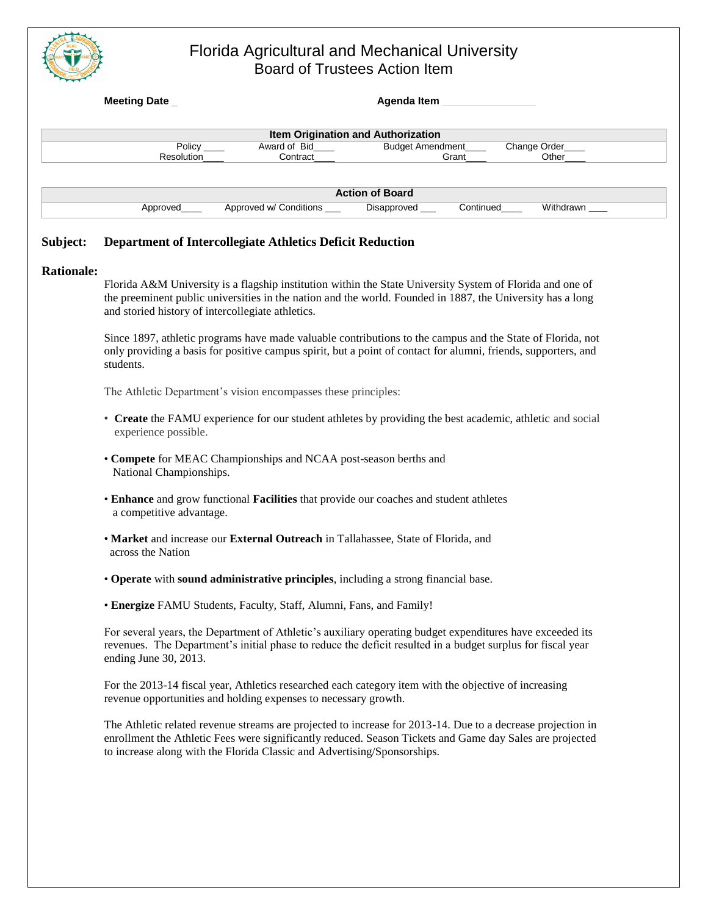

### Florida Agricultural and Mechanical University Board of Trustees Action Item

|                   | <b>Meeting Date</b><br>Agenda Item                                                                                                                                                                                                                                           |  |
|-------------------|------------------------------------------------------------------------------------------------------------------------------------------------------------------------------------------------------------------------------------------------------------------------------|--|
|                   | Item Origination and Authorization                                                                                                                                                                                                                                           |  |
|                   | Award of Bid<br><b>Budget Amendment_</b><br>Change Order_<br>Policy $\_\_$                                                                                                                                                                                                   |  |
|                   | Resolution<br>Contract<br>Grant<br>Other                                                                                                                                                                                                                                     |  |
|                   | <b>Action of Board</b>                                                                                                                                                                                                                                                       |  |
|                   | Approved w/ Conditions ___<br>Disapproved ___<br>Continued<br>Approved____<br>Withdrawn ____                                                                                                                                                                                 |  |
| Subject:          | Department of Intercollegiate Athletics Deficit Reduction                                                                                                                                                                                                                    |  |
| <b>Rationale:</b> |                                                                                                                                                                                                                                                                              |  |
|                   | Florida A&M University is a flagship institution within the State University System of Florida and one of<br>the preeminent public universities in the nation and the world. Founded in 1887, the University has a long<br>and storied history of intercollegiate athletics. |  |
|                   | Since 1897, athletic programs have made valuable contributions to the campus and the State of Florida, not<br>only providing a basis for positive campus spirit, but a point of contact for alumni, friends, supporters, and<br>students.                                    |  |
|                   | The Athletic Department's vision encompasses these principles:                                                                                                                                                                                                               |  |
|                   | • Create the FAMU experience for our student athletes by providing the best academic, athletic and social<br>experience possible.                                                                                                                                            |  |
|                   | • Compete for MEAC Championships and NCAA post-season berths and<br>National Championships.                                                                                                                                                                                  |  |
|                   | • Enhance and grow functional Facilities that provide our coaches and student athletes<br>a competitive advantage.                                                                                                                                                           |  |
|                   | • Market and increase our External Outreach in Tallahassee, State of Florida, and<br>across the Nation                                                                                                                                                                       |  |
|                   | • Operate with sound administrative principles, including a strong financial base.                                                                                                                                                                                           |  |
|                   | • Energize FAMU Students, Faculty, Staff, Alumni, Fans, and Family!                                                                                                                                                                                                          |  |
|                   | For several years, the Department of Athletic's auxiliary operating budget expenditures have exceeded its<br>revenues. The Department's initial phase to reduce the deficit resulted in a budget surplus for fiscal year<br>ending June 30, 2013.                            |  |
|                   | For the 2013-14 fiscal year, Athletics researched each category item with the objective of increasing<br>revenue opportunities and holding expenses to necessary growth.                                                                                                     |  |
|                   | The Athletic related revenue streams are projected to increase for 2013-14. Due to a decrease projection in<br>enrollment the Athletic Fees were significantly reduced. Season Tickets and Game day Sales are projected                                                      |  |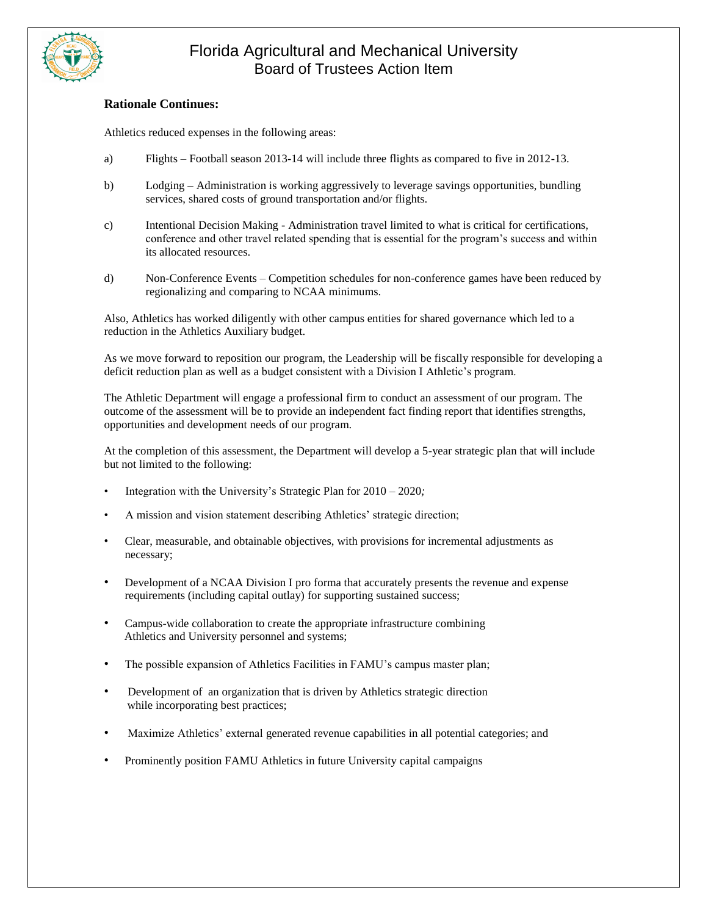

# Florida Agricultural and Mechanical University Board of Trustees Action Item

#### **Rationale Continues:**

Athletics reduced expenses in the following areas:

- a) Flights Football season 2013-14 will include three flights as compared to five in 2012-13.
- b) Lodging Administration is working aggressively to leverage savings opportunities, bundling services, shared costs of ground transportation and/or flights.
- c) Intentional Decision Making Administration travel limited to what is critical for certifications, conference and other travel related spending that is essential for the program's success and within its allocated resources.
- d) Non-Conference Events Competition schedules for non-conference games have been reduced by regionalizing and comparing to NCAA minimums.

Also, Athletics has worked diligently with other campus entities for shared governance which led to a reduction in the Athletics Auxiliary budget.

As we move forward to reposition our program, the Leadership will be fiscally responsible for developing a deficit reduction plan as well as a budget consistent with a Division I Athletic's program.

The Athletic Department will engage a professional firm to conduct an assessment of our program. The outcome of the assessment will be to provide an independent fact finding report that identifies strengths, opportunities and development needs of our program.

At the completion of this assessment, the Department will develop a 5-year strategic plan that will include but not limited to the following:

- Integration with the University's Strategic Plan for 2010 2020*;*
- A mission and vision statement describing Athletics' strategic direction;
- Clear, measurable, and obtainable objectives, with provisions for incremental adjustments as necessary;
- Development of a NCAA Division I pro forma that accurately presents the revenue and expense requirements (including capital outlay) for supporting sustained success;
- Campus-wide collaboration to create the appropriate infrastructure combining Athletics and University personnel and systems;
- The possible expansion of Athletics Facilities in FAMU's campus master plan;
- Development of an organization that is driven by Athletics strategic direction while incorporating best practices;
- Maximize Athletics' external generated revenue capabilities in all potential categories; and
- Prominently position FAMU Athletics in future University capital campaigns